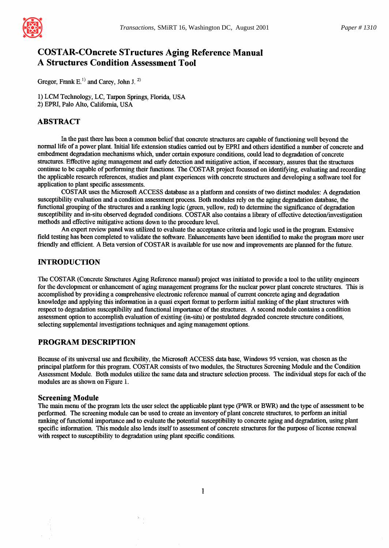

# **COSTAR-COncrete STructures Aging Reference Manual A Structures Condition Assessment Tool**

Gregor, Frank  $E^{(1)}$  and Carey, John J.<sup>2)</sup>

1) LCM Technology, LC, Tarpon Springs, Florida, USA 2) EPRI, Palo Alto, California, USA

### ABSTRACT

In the past there has been a common belief that concrete structures are capable of fimctioning well beyond the normal life of a power plant. Initial life extension studies carried out by EPRI and others identified a number of concrete and embedment degradation mechanisms which, under certain exposure conditions, could lead to degradation of concrete structures. Effective aging management and early detection and mitigative action, ff necessary, assures that the structures continue to be capable of performing their functions. The COSTAR project focussed on identifying, evaluating and recording the applicable research references, studies and plant experiences with concrete structures and developing a software tool for application to plant specific assessments.

COSTAR uses the Microsoft ACCESS database as a platform and consists of two distinct modules: A degradation susceptibility evaluation and a condition assessment process. Both modules rely on the aging degradation database, the functional grouping of the structures and a ranking logic (green, yellow, red) to determine the significance of degradation susceptibility and in-situ observed degraded conditions. COSTAR also contains a library of effective detection/investigation methods and effective mitigative actions down to the procedure level.

An expert review panel was utilized to evaluate the acceptance criteria and logic used in the program. Extensive field testing has been completed to validate the software. Enhancements have been identified to make the program more user friendly and efficient. A Beta version of COSTAR is available for use now and improvements are planned for the future.

### INTRODUCTION

The COSTAR (Concrete Structures Aging Reference manual) project was initiated to provide a tool to the utility engineers for the development or enhancement of aging management programs for the nuclear power plant concrete structures. This is accomplished by providing a comprehensive electronic reference manual of current concrete aging and degradation knowledge and applying this information in a quasi expert format to perform initial ranking of the plant structures with respect to degradation susceptibility and functional importance of the structures. A second module contains a condition assessment option to accomplish evaluation of existing (in-situ) or postulated degraded concrete structure conditions, selecting supplemental investigations techniques and aging management options.

### PROGRAM DESCRIPTION

Because of its universal use and flexibility, the Microsoft ACCESS data base, Windows 95 version, was chosen as the principal platform for this program. COSTAR consists of two modules, the Structures Screening Module and the Condition Assessment Module. Both modules utilize the same data and structure selection process. The individual steps for each of the modules are as shown on Figure 1.

#### **Screening Module**

The main menu of the program lets the user select the applicable plant type (PWR or BWR) and the type of assessment to be performed. The screening module can be used to create an inventory of plant concrete structures, to perform an initial ranking of functional importance and to evaluate the potential susceptibility to concrete aging and degradation, using plant specific information. This module also lends itself to assessment of concrete structures for the purpose of license renewal with respect to susceptibility to degradation using plant specific conditions.

 $\mathbf{1}$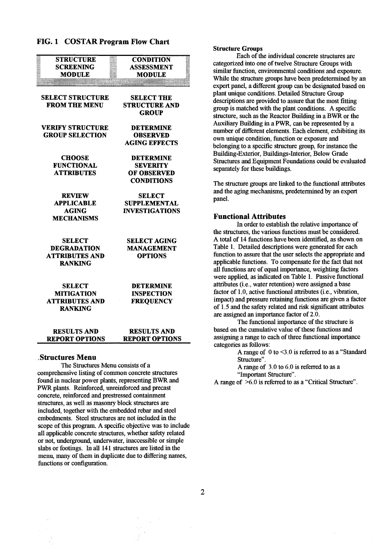### FIG. 1 COSTAR **Program Flow** Chart

| <b>STRUCTURE</b><br><b>SCREENING</b><br>MODIILE                                | <b>CONDITION</b><br><b>ASSESSMENT</b><br>MODULE                                |
|--------------------------------------------------------------------------------|--------------------------------------------------------------------------------|
| <b>SELECT STRUCTURE</b><br><b>FROM THE MENU</b>                                | <b>SELECT THE</b><br><b>STRUCTURE AND</b><br><b>GROUP</b>                      |
| <b>VERIFY STRUCTURE</b><br><b>GROUP SELECTION</b>                              | <b>DETERMINE</b><br><b>OBSERVED</b><br><b>AGING EFFECTS</b>                    |
| <b>CHOOSE</b><br><b>FUNCTIONAL</b><br><b>ATTRIBUTES</b>                        | <b>DETERMINE</b><br><b>SEVERITY</b><br><b>OF OBSERVED</b><br><b>CONDITIONS</b> |
| <b>REVIEW</b><br><b>APPLICABLE</b><br><b>AGING</b><br><b>MECHANISMS</b>        | SELECT<br><b>SUPPLEMENTAL</b><br><b>INVESTIGATIONS</b>                         |
| <b>SELECT</b><br><b>DEGRADATION</b><br><b>ATTRIBUTES AND</b><br><b>RANKING</b> | <b>SELECT AGING</b><br><b>MANAGEMENT</b><br><b>OPTIONS</b>                     |
| <b>SELECT</b><br><b>MITIGATION</b><br><b>ATTRIBUTES AND</b><br><b>RANKING</b>  | <b>DETERMINE</b><br><b>INSPECTION</b><br><b>FREQUENCY</b>                      |
| <b>RESULTS AND</b><br><b>REPORT OPTIONS</b>                                    | <b>RESULTS AND</b><br><b>REPORT OPTIONS</b>                                    |

#### **.Structures Menu**

The Structures Menu consists of a comprehensive listing of common concrete structures found in nuclear power plants, representing BWR and PWR plants. Reinforced, unreinforced and precast concrete, reinforced and prestressed containment structures, as well as masonry block structures are included, together with the embedded rebar and steel embedments. Steel structures are not included in the scope of this program. A specific objective was to include all applicable concrete structures, whether safety related or not, underground, underwater, inaccessible or simple slabs or footings. In all 141 structures are listed in the menu, many of them in duplicate due to differing names, functions or configuration.

#### Structure **Groups**

Each of the individual concrete structures are categorized into one of twelve Structure Groups with similar function, environmental conditions and exposure. While the structure groups have been predetermined by an expert panel, a different group can be designated based on plant unique conditions. Detailed Structure Group descriptions are provided to assure that the most fitting group is matched with the plant conditions. A specific structure, such as the Reactor Building in a BWR or the Auxiliary Building in a PWR, can be represented by a number of different elements. Each element, exhibiting its own unique condition, fimction or exposure and belonging to a specific structure group, for instance the Building-Exterior, Buildings-Interior, Below Grade Structures and Equipment Foundations could be evaluated separately for these buildings.

The structure groups are linked to the functional attributes and the aging mechanisms, predetermined by an expert panel.

#### **Functional Attributes**

In order to establish the relative importance of the structures, the various functions must be considered. A total of 14 functions have been identified, as shown on Table 1. Detailed descriptions were generated for each function to assure that the user selects the appropriate and applicable functions. To compensate for the fact that not all functions are of equal importance, weighting factors were applied, as indicated on Table 1. Passive functional attributes (i.e., water retention) were assigned a base factor of 1.0, active fimctional attributes (i.e., vibration, impact) and pressure retaining functions are given a factor of 1.5 and the safety related and risk significant attributes are assigned an importance factor of 2.0.

The functional importance of the structure is based on the cumulative value of these functions and assigning a range to each of three functional importance categories as follows:

A range of 0 to <3.0 is referred to as a "Standard Structure".

A range of 3.0 to 6.0 is referred to as a

°'Important Structure".

A range of >6.0 is referred to as a "Critical Structure".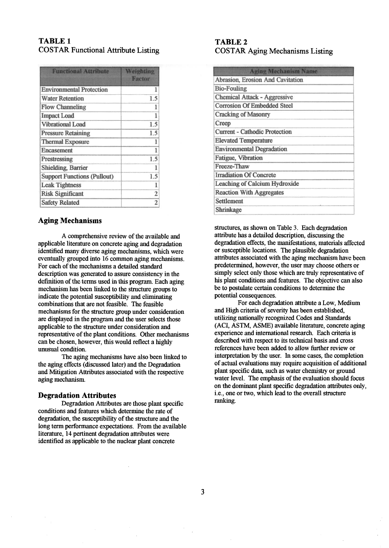## **TABLE 1 COSTAR Functional Attribute Listing**

| <b>Functional Attribute</b>        | Weighting<br>Factor |
|------------------------------------|---------------------|
| <b>Environmental Protection</b>    |                     |
| <b>Water Retention</b>             | 1.5                 |
| <b>Flow Channeling</b>             |                     |
| <b>Impact Load</b>                 |                     |
| <b>Vibrational Load</b>            | 1.5                 |
| <b>Pressure Retaining</b>          | 1.5                 |
| <b>Thermal Exposure</b>            |                     |
| Encasement                         |                     |
| Prestressing                       | 1.5                 |
| <b>Shielding, Barrier</b>          |                     |
| <b>Support Functions (Pullout)</b> | 1.5                 |
| <b>Leak Tightness</b>              |                     |
| <b>Risk Significant</b>            | 2                   |
| <b>Safety Related</b>              | 2                   |

## **Aging Mechanisms**

A comprehensive review of the available and applicable literature on concrete aging and degradation identified many diverse aging mechanisms, which were eventually grouped into 16 common aging mechanisms. For each of the mechanisms a detailed standard description was generated to assure consistency in the definition of the terms used in this program. Each aging mechanism has been linked to the structure groups to indicate the potential susceptibility and eliminating combinations that are not feasible. The feasible mechanisms for the structure group under consideration are displayed in the program and the user selects those applicable to the structure under consideration and representative of the plant conditions. Other mechanisms can be chosen, however, this would reflect a highly unusual condition.

The aging mechanisms have also been linked to the aging effects (discussed later) and the Degradation and Mitigation Attributes associated with the respective aging mechanism.

### **Degradation Attributes**

Degradation Attributes are those plant specific conditions and features which determine the rate of degradation, the susceptibility of the structure and the long term performance expectations. From the available literature, 14 pertinent degradation attributes were identified as applicable to the nuclear plant concrete

## **TABLE 2 COSTAR Aging Mechanisms Listing**

| <b>Aging Mechanism Name</b>          |
|--------------------------------------|
| Abrasion, Erosion And Cavitation     |
| <b>Bio-Fouling</b>                   |
| <b>Chemical Attack - Aggressive</b>  |
| <b>Corrosion Of Embedded Steel</b>   |
| <b>Cracking of Masonry</b>           |
| Creep                                |
| <b>Current - Cathodic Protection</b> |
| <b>Elevated Temperature</b>          |
| <b>Environmental Degradation</b>     |
| Fatigue, Vibration                   |
| Freeze-Thaw                          |
| <b>Irradiation Of Concrete</b>       |
| Leaching of Calcium Hydroxide        |
| <b>Reaction With Aggregates</b>      |
| Settlement                           |
| Shrinkage                            |

structures, as shown on Table 3. Each degradation attribute has a detailed description, discussing the degradation effects, the manifestations, materials affected or susceptible locations. The plausible degradation attributes associated with the aging mechanism have been predetermined, however, the user may choose others or simply select only those which are truly representative of his plant conditions and features. The objective can also be to postulate certain conditions to determine the potential consequences.

For each degradation attribute a Low, Medium and High criteria of severity has been established, utilizing nationally recognized Codes and Standards (ACI, ASTM, ASME) available literature, concrete aging experience and international research. Each criteria is described with respect to its technical basis and cross references have been added to allow further review or interpretation by the user. In some cases, the completion of actual evaluations nmy require acquisition of additional plant specific data, such as water chemistry or ground water level. The emphasis of the evaluation should focus on the dominant plant specific degradation attributes only, i.e., one or two, which lead to the overall structure ranking.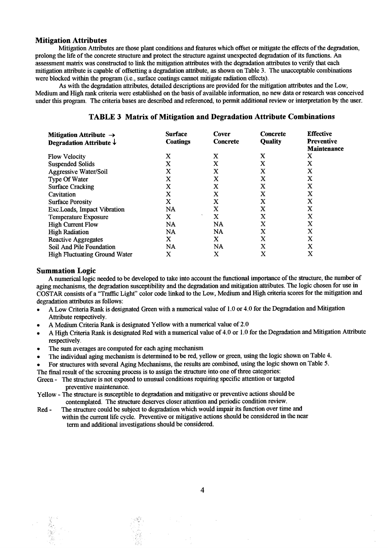#### **Mitigation Attributes**

Mitigation Attributes are those plant conditions and features which offset or mitigate the effects of the degradation, prolong the life of the concrete structure and protect the structure against unexpected degradation of its functions. An assessment matrix was constructed to link the mitigation attributes with the degradation attributes to verify that each mitigation attribute is capable of offsetting a degradation attribute, as shown on Table 3. The unacceptable combinations were blocked within the program (i.e., surface coatings cannot mitigate radiation **effects).** 

As with the degradation attributes, detailed descriptions are provided for the mitigation attributes and the Low, Medium and High rank criteria were established on the basis of available information, no new data or research was conceived under this program. The criteria bases are described and referenced, to permit additional review or interpretation by the user.

| Mitigation Attribute $\rightarrow$   | <b>Surface</b>  | Cover           | <b>Concrete</b> | <b>Effective</b>   |
|--------------------------------------|-----------------|-----------------|-----------------|--------------------|
| Degradation Attribute $\downarrow$   | <b>Coatings</b> | <b>Concrete</b> | <b>Quality</b>  | <b>Preventive</b>  |
|                                      |                 |                 |                 | <b>Maintenance</b> |
| <b>Flow Velocity</b>                 | X               | X               | x               | X                  |
| <b>Suspended Solids</b>              | x               | X               | X               | X                  |
| <b>Aggressive Water/Soil</b>         | X               | X               | x               | X                  |
| Type Of Water                        | X               | x               | X               | X                  |
| <b>Surface Cracking</b>              | X               | X               | x               | X                  |
| Cavitation                           | X               | X               | x               | X                  |
| <b>Surface Porosity</b>              | X               | X               | X               | X                  |
| Exc.Loads, Impact Vibration          | <b>NA</b>       | X               | x               | x                  |
| <b>Temperature Exposure</b>          | x               | X               | X               | X                  |
| <b>High Current Flow</b>             | <b>NA</b>       | <b>NA</b>       | x               | X                  |
| <b>High Radiation</b>                | NA              | <b>NA</b>       | X               | X                  |
| <b>Reactive Aggregates</b>           | X               | X               | X               | X                  |
| Soil And Pile Foundation             | NA              | NA              | X               | X                  |
| <b>High Fluctuating Ground Water</b> | x               | X               | X               | X                  |

### **TABLE 3 Matrix of Mitigation and Degradation Attribute Combinations**

#### **Summation Logic**

A numerical logic needed to be developed to take into account the functional importance of the structure, the number of aging mechanisms, the degradation susceptibility and the degradation and mitigation attributes. The logic chosen for use in COSTAR consists of a "Traffic Light" color code linked to the Low, Medium and High criteria scores for the mitigation and degradation attributes as follows:

- A Low Criteria Rank is designated Green with a numerical value of 1.0 or 4.0 for the Degradation and Mitigation Attribute respectively.
- A Medium Criteria Rank is designated Yellow with a numerical value of 2.0
- A High Criteria Rank is designated Red with a numerical value of 4.0 or 1.0 for the Degradation and Mitigation Attribute respectively.
- The sum averages are computed for each aging mechanism
- The individual aging mechanism is determined to be red, yellow or green, using the logic shown on Table 4.
- For structures with several Aging Mechanisms, the results are combined, using the logic shown on Table 5.

The final result of the screening process is to assign the structure into one of three categories:

- Green The structure is not exposed to unusual conditions requiring specific attention or **targeted**  preventive maintenance.
- Yellow The structure is susceptible to degradation and mitigative or preventive actions should be contemplated. The structure deserves closer attention and periodic condition review.
- Red The structure could be subject to degradation which would impair its function over time and within the current life cycle. Preventive or mitigative actions should be considered in the near term and additional investigations should be considered.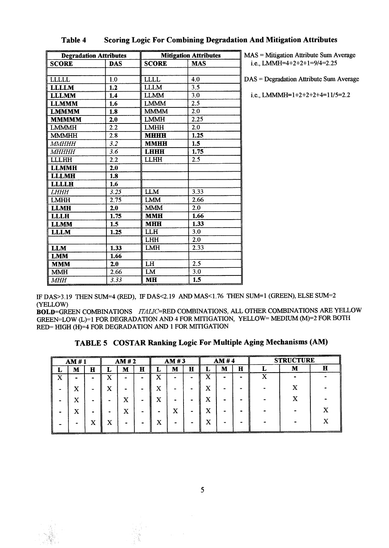| <b>Degradation Attributes</b> |            | <b>Mitigation Attributes</b> |                  |  |  |  |
|-------------------------------|------------|------------------------------|------------------|--|--|--|
| <b>SCORE</b>                  | <b>DAS</b> | <b>SCORE</b>                 | <b>MAS</b>       |  |  |  |
|                               |            |                              |                  |  |  |  |
| LLLLL                         | 1,0        | <b>LLLL</b>                  | 4.0              |  |  |  |
| <b>LLLLM</b>                  | 1.2        | <b>LLLM</b>                  | 3.5              |  |  |  |
| <b>LLLMM</b>                  | 1.4        | <b>LLMM</b>                  | 3.0              |  |  |  |
| <b>LLMMM</b>                  | 1.6        | <b>LMMM</b>                  | 2.5              |  |  |  |
| <b>LMMMM</b>                  | 1.8        | <b>MMMM</b>                  | $\overline{2.0}$ |  |  |  |
| <b>MMMMM</b>                  | 2.0        | <b>LMMH</b>                  | 2.25             |  |  |  |
| <b>LMMMH</b>                  | 2.2        | <b>LMHH</b>                  | 2.0              |  |  |  |
| <b>MMMHH</b>                  | 2.8        | <b>MHHH</b>                  | 1.25             |  |  |  |
| MMHHH                         | 3.2        | <b>MMHH</b>                  | 1.5              |  |  |  |
| МНННН                         | 3.6        | <b>LHHH</b>                  | 1.75             |  |  |  |
| <b>LLLHH</b>                  | 2.2        | <b>LLHH</b>                  | 2.5              |  |  |  |
| <b>LLMMH</b>                  | 2.0        |                              |                  |  |  |  |
| <b>LLLMH</b>                  | 1.8        |                              |                  |  |  |  |
| <b>LLLLH</b>                  | 1.6        |                              |                  |  |  |  |
| <b>LHHH</b>                   | 3.25       | <b>LLM</b>                   | 3.33             |  |  |  |
| <b>LMHH</b>                   | 2.75       | <b>LMM</b>                   | 2.66             |  |  |  |
| <b>LLMH</b>                   | 2.0        | <b>MMM</b>                   | 2.0              |  |  |  |
| <b>LLLH</b>                   | 1.75       | <b>MMH</b>                   | 1.66             |  |  |  |
| <b>LLMM</b>                   | 1.5        | <b>MHH</b>                   | 1.33             |  |  |  |
| <b>LLLM</b>                   | 1.25       | LLH                          | 3.0              |  |  |  |
|                               |            | <b>LHH</b>                   | 2.0              |  |  |  |
| <b>LLM</b>                    | 1.33       | <b>LMH</b>                   | 2.33             |  |  |  |
| <b>LMM</b>                    | 1.66       |                              |                  |  |  |  |
| <b>MMM</b>                    | 2.0        | LH                           | 2.5              |  |  |  |
| <b>MMH</b>                    | 2.66       | LM                           | 3.0              |  |  |  |
| <b>MHH</b>                    | 3.33       | <b>MH</b>                    | 1.5              |  |  |  |

# **Table 4 Scoring Logic For Combining Degradation And Mitigation Attributes**

 $MAS = Mitigation$  Attribute Sum Average i.e., LMMH=4+2+2+1=9/4=2.25

DAS = Degradation Attribute Sum Average

i.e., LMMMH= $1+2+2+2+4=11/5=2.2$ 

IF DAS>3.19 THEN SUM=4 (RED), IF DAS<2.19 AND MAS<1.76 THEN SUM=1 (GREEN), ELSE SUM=2 (YELLOW)

BOLD=GREEN COMBINATIONS *ITALIC=RED* COMBINATIONS, ALL OTHER COMBINATIONS ARE YELLOW GREEN=LOW (L)=1 FOR DEGRADATION AND 4 FOR MITIGATION, YELLOW= MEDIUM (M)=2 FOR BOTH  $RED = HIGH (H) = 4 FOR DEGRAPHON AND 1 FOR MITIGATION$ 

| TABLE 5 COSTAR Ranking Logic For Multiple Aging Mechanisms (AM) |  |  |  |  |  |  |
|-----------------------------------------------------------------|--|--|--|--|--|--|
|-----------------------------------------------------------------|--|--|--|--|--|--|

| AM#1 |                | AM#2        |             | AM#3         |           |    | AM #4  |                |         | <b>STRUCTURE</b> |   |   |   |   |
|------|----------------|-------------|-------------|--------------|-----------|----|--------|----------------|---------|------------------|---|---|---|---|
| ┻    | M              | $\mathbf H$ | ≖           | M            | $\bf H$   | L. | M      | $\mathbf H$    | ┻       | M                | н |   | М | н |
| x    | $\blacksquare$ |             | $\tau$<br>A |              | -         | x  | -      |                | X       | -                |   | X |   |   |
|      | x              |             | X           |              |           | x  |        |                | x       |                  |   |   |   |   |
|      | X              |             |             | x            | $\bullet$ | x  | -      |                | x       | $\blacksquare$   |   |   |   |   |
|      | x              | -           | -           | x            | -         |    | x      | $\blacksquare$ | X       |                  |   |   |   |   |
|      |                | X           | v<br>́△     | $\mathbf{r}$ |           | x  | $\sim$ | -              | ٦z<br>л |                  |   |   |   |   |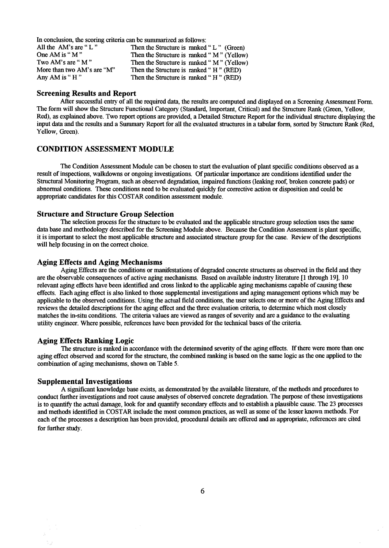In conclusion, the scoring criteria can be summarized as follows:<br>All the AM's are "L"<br>Then the Structure is ranked All the AM's are "L"<br>Then the Structure is ranked "L" (Green)<br>One AM is "M" Then the Structure is ranked "M" (Yellow One AM is "M" Then the Structure is ranked "M" (Yellow)<br>Two AM's are "M" Then the Structure is ranked "M" (Yellow) Two AM's are "M" Then the Structure is ranked "M" (Yellow)<br>More than two AM's are "M" Then the Structure is ranked "H" (RED) More than two AM's are "M" Then the Structure is ranked " H " (RED)<br>Any AM is " H " Then the Structure is ranked " H " (RED) Then the Structure is ranked " $H$ " (RED)

#### **Screening Results and Report**

After successful entry of all the required data, the results are computed and displayed on a Screening Assessment Form. The form will show the Structure Functional Category (Standard, Important, Critical) and the Structure Rank (Green, Yellow, Red), as explained above. Two report options are provided, a Detailed Structure Report for the individual structure displaying the input data and the results and a Summary Report for all the evaluated structures in a tabular form, sorted by Structure Rank (Red, Yellow, Green).

### CONDITION ASSESSMENT MODULE

The Condition Assessment Module can be chosen to start the evaluation of plant specific conditions observed as a result of inspections, walkdowns or ongoing investigations. Of particular importance are conditions identified under the Structural Monitoring Program, such as observed degradation, impaired functions (leaking roof, broken concrete pads) or abnormal conditions. These conditions need to be evaluated quickly for corrective action or disposition and could be appropriate candidates for this COSTAR condition assessment module.

#### **Structure and Structure Group Selection**

The selection process for the structure to be evaluated and the applicable structure group selection uses the same data base and methodology described for the Screening Module above. Because the Condition Assessment is plant specific, it is important to select the most applicable structure and associated structure group for the case. Review of the descriptions will help focusing in on the correct choice.

#### **Aging Effects and Aging Mechanisms**

Aging Effects are the conditions or manifestations of degraded concrete structures as observed in the field and they are the observable consequences of active aging mechanisms. Based on available industry literature [1 through 19], 10 relevant aging effects have been identified and cross linked to the applicable aging mechanisms capable of causing these effects. Each aging effect is also linked to those supplemental investigations and aging management options which may be applicable to the observed conditions. Using the actual field conditions, the user selects one or more of the Aging Effects and reviews the detailed descriptions for the aging effect and the three evaluation criteria, to determine which most closely matches the in-situ conditions. The criteria values are viewed as ranges of severity and are a guidance to the evaluating utility engineer. Where possible, references have been provided for the technical bases of the criteria.

#### **Aging Effects Ranking Logic**

The structure is ranked in accordance with the determined severity of the aging effects. If there were more than one aging effect observed and scored for the structure, the combined ranking is based on the same logic as the one applied to the combination of aging mechanisms, shown on Table 5.

#### **Supplemental Investigations**

A significant knowledge base exists, as demonstrated by the available literature, of the methods and procedures to conduct further investigations and root cause analyses of observed concrete degradation. The purpose of these investigations is to quantify the actual damage, look for and quantify secondary effects and to establish a plausible cause. The 23 processes and methods identified in COSTAR include the most common practices, as well as some of the lesser known methods. For each of the processes a description has been provided, procedural details are offered and as appropriate, references are cited for further study.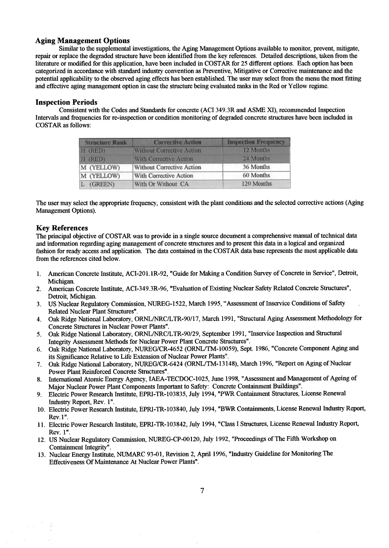# **Aging Management Options**

Similar to the supplemental investigations, the Aging Management Options available to monitor, prevent, mitigate, repair or replace the degraded structure have been identified from the key references. Detailed descriptions, taken from the literature or modified for this application, have been included in COSTAR for 25 different options. Each option has been categorized in accordance with standard industry convention as Preventive, Mitigative or Corrective maintenance and the potential applicability to the observed aging effects has been established. The user may select from the menu the most fitting and effective aging management option in case the structure being evaluated ranks in the Red or Yellow regime.

### **Inspection Periods**

Consistent with the Codes and Standards for concrete (AC1349.3R and ASME XI), recommended Inspection Intervals and frequencies for re-inspection or condition monitoring of degraded concrete structures have been included in COSTAR as follows:

| <b>Structure Rank</b> | <b>Corrective Action</b>         | <b>Inspection Frequency</b> |  |  |  |
|-----------------------|----------------------------------|-----------------------------|--|--|--|
| $H$ (RED)             | <b>Without Corrective Action</b> | 12 Months                   |  |  |  |
| H (RED)               | <b>With Corrective Action</b>    | 24 Months                   |  |  |  |
| M (YELLOW)            | <b>Without Corrective Action</b> | 36 Months                   |  |  |  |
| M (YELLOW)            | <b>With Corrective Action</b>    | 60 Months                   |  |  |  |
| L (GREEN)             | With Or Without CA               | 120 Months                  |  |  |  |

The user may select the appropriate frequency, consistent with the plant conditions and the selected corrective actions (Aging Management Options).

### **Key References**

The principal objective of COSTAR was to provide in a single source document a comprehensive manual of technical data and information regarding aging management of concrete structures and to present this data in a logical and organized fashion for ready access and application. The data contained in the COSTAR data base represents the most applicable data from the references cited below.

- 1. American Concrete Institute, ACI-201.1R-92, "Guide for Making a Condition Survey of Concrete in Service", Detroit, Michigan.
- 2. American Concrete Institute, ACI-349.3R-96, "Evaluation of Existing Nuclear Safety Related Concrete Structures", Detroit, Michigan.
- 3. US Nuclear Regulatory Commission, NUREG-1522, March 1995, "Assessment of Inservice Conditions of Safety . Related Nuclear Plant Structures".
- 4. Oak Ridge National Laboratory, ORNL/NRC/LTR-90/17, March 1991, "Structural Aging Assessment Methodology for Concrete Structures in Nuclear Power Plants".
- 5. Oak Ridge National Laboratory, ORNL/NRC/LTR-90/29, September 1991, "Inservice Inspection and Structural Integrity Assessment Methods for Nuclear Power Plant Concrete Structures".
- 6. Oak Ridge National Laboratory, NUREG/CR-4652 (ORNL/TM-10059), Sept. 1986, "Concrete Component Aging and its Significance Relative to Life Extension of Nuclear Power Plants".
- 7. Oak Ridge National Laboratory, NUREG/CR-6424 (ORNL/TM-13148), March 1996, "Report on Aging of Nuclear Power Plant Reinforced Concrete Structures".
- 8. International Atomic Energy Agency, IAEA-TECDOC-1025, June 1998, "Assessment and Management of Ageing of Major Nuclear Power Plant Components Important to Safety: Concrete Containment Buildings".
- 9. Electric Power Research Institute, EPRI-TR-103835, July 1994, "PWR Containment Structures, License Renewal Industry Report, Rev. 1".
- 10. Electric Power Research Institute, EPRI-TR-103840, July 1994, "BWR Containments, License Renewal Industry Report, Rev. 1".
- 11. Electric Power Research Institute, EPRI-TR-103 842, July 1994, "Class I Structures, License Renewal Industry Report, Rev. 1".
- 12. US Nuclear Regulatory Commission, NUREG-CP-00120, July 1992, "Proceedings of The Fifth Workshop on Containment Integrity".
- 13. Nuclear Energy Institute, NUMARC 93-01, Revision 2, April 1996, "Industry Guideline for Monitoring The Effectiveness Of Maintenance At Nuclear Power Plants".